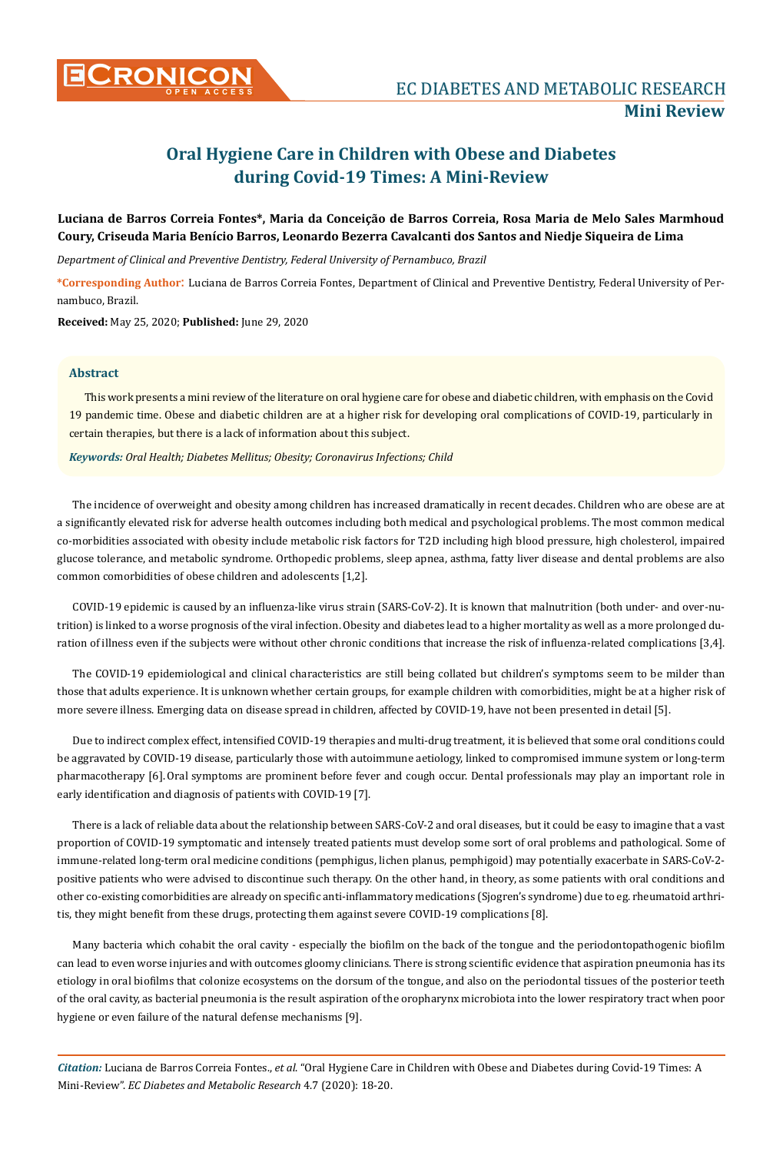# **Oral Hygiene Care in Children with Obese and Diabetes during Covid-19 Times: A Mini-Review**

## **Luciana de Barros Correia Fontes\*, Maria da Conceição de Barros Correia, Rosa Maria de Melo Sales Marmhoud Coury, Criseuda Maria Benício Barros, Leonardo Bezerra Cavalcanti dos Santos and Niedje Siqueira de Lima**

*Department of Clinical and Preventive Dentistry, Federal University of Pernambuco, Brazil*

**\*Corresponding Author**: Luciana de Barros Correia Fontes, Department of Clinical and Preventive Dentistry, Federal University of Pernambuco, Brazil.

**Received:** May 25, 2020; **Published:** June 29, 2020

### **Abstract**

This work presents a mini review of the literature on oral hygiene care for obese and diabetic children, with emphasis on the Covid 19 pandemic time. Obese and diabetic children are at a higher risk for developing oral complications of COVID-19, particularly in certain therapies, but there is a lack of information about this subject.

*Keywords: Oral Health; Diabetes Mellitus; Obesity; Coronavirus Infections; Child* 

The incidence of overweight and obesity among children has increased dramatically in recent decades. Children who are obese are at a significantly elevated risk for adverse health outcomes including both medical and psychological problems. The most common medical co-morbidities associated with obesity include metabolic risk factors for T2D including high blood pressure, high cholesterol, impaired glucose tolerance, and metabolic syndrome. Orthopedic problems, sleep apnea, asthma, fatty liver disease and dental problems are also common comorbidities of obese children and adolescents [1,2].

COVID-19 epidemic is caused by an influenza-like virus strain (SARS-CoV-2). It is known that malnutrition (both under- and over-nutrition) is linked to a worse prognosis of the viral infection. Obesity and diabetes lead to a higher mortality as well as a more prolonged duration of illness even if the subjects were without other chronic conditions that increase the risk of influenza-related complications [3,4].

The COVID-19 epidemiological and clinical characteristics are still being collated but children's symptoms seem to be milder than those that adults experience. It is unknown whether certain groups, for example children with comorbidities, might be at a higher risk of more severe illness. Emerging data on disease spread in children, affected by COVID-19, have not been presented in detail [5].

Due to indirect complex effect, intensified COVID-19 therapies and multi-drug treatment, it is believed that some oral conditions could be aggravated by COVID-19 disease, particularly those with autoimmune aetiology, linked to compromised immune system or long-term pharmacotherapy [6]. Oral symptoms are prominent before fever and cough occur. Dental professionals may play an important role in early identification and diagnosis of patients with COVID-19 [7].

There is a lack of reliable data about the relationship between SARS-CoV-2 and oral diseases, but it could be easy to imagine that a vast proportion of COVID-19 symptomatic and intensely treated patients must develop some sort of oral problems and pathological. Some of immune-related long-term oral medicine conditions (pemphigus, lichen planus, pemphigoid) may potentially exacerbate in SARS-CoV-2positive patients who were advised to discontinue such therapy. On the other hand, in theory, as some patients with oral conditions and other co‐existing comorbidities are already on specific anti‐inflammatory medications (Sjogren's syndrome) due to eg. rheumatoid arthritis, they might benefit from these drugs, protecting them against severe COVID-19 complications [8].

Many bacteria which cohabit the oral cavity - especially the biofilm on the back of the tongue and the periodontopathogenic biofilm can lead to even worse injuries and with outcomes gloomy clinicians. There is strong scientific evidence that aspiration pneumonia has its etiology in oral biofilms that colonize ecosystems on the dorsum of the tongue, and also on the periodontal tissues of the posterior teeth of the oral cavity, as bacterial pneumonia is the result aspiration of the oropharynx microbiota into the lower respiratory tract when poor hygiene or even failure of the natural defense mechanisms [9].

*Citation:* Luciana de Barros Correia Fontes., *et al*. "Oral Hygiene Care in Children with Obese and Diabetes during Covid-19 Times: A Mini-Review". *EC Diabetes and Metabolic Research* 4.7 (2020): 18-20.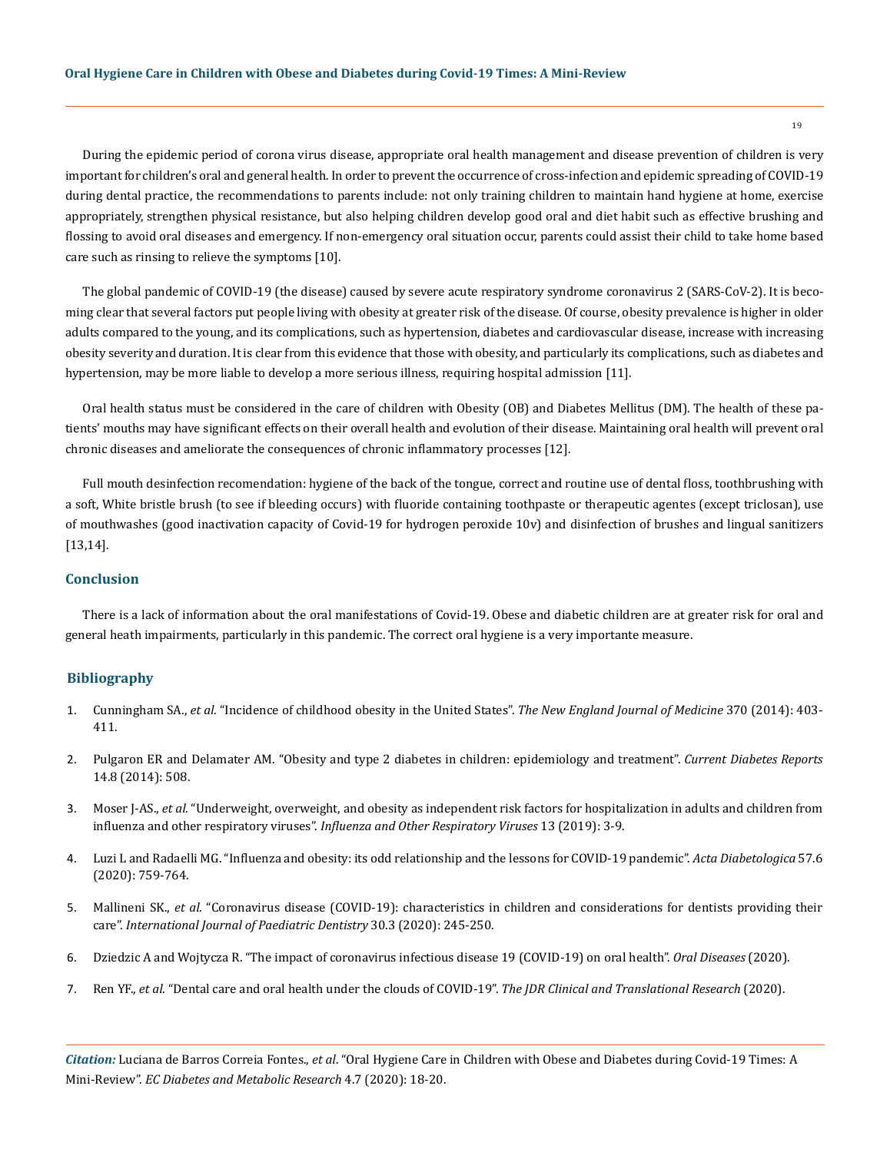During the epidemic period of corona virus disease, appropriate oral health management and disease prevention of children is very important for children's oral and general health. In order to prevent the occurrence of cross-infection and epidemic spreading of COVID-19 during dental practice, the recommendations to parents include: not only training children to maintain hand hygiene at home, exercise appropriately, strengthen physical resistance, but also helping children develop good oral and diet habit such as effective brushing and flossing to avoid oral diseases and emergency. If non-emergency oral situation occur, parents could assist their child to take home based care such as rinsing to relieve the symptoms [10].

The global pandemic of COVID‐19 (the disease) caused by severe acute respiratory syndrome coronavirus 2 (SARS‐CoV‐2). It is becoming clear that several factors put people living with obesity at greater risk of the disease. Of course, obesity prevalence is higher in older adults compared to the young, and its complications, such as hypertension, diabetes and cardiovascular disease, increase with increasing obesity severity and duration. It is clear from this evidence that those with obesity, and particularly its complications, such as diabetes and hypertension, may be more liable to develop a more serious illness, requiring hospital admission [11].

Oral health status must be considered in the care of children with Obesity (OB) and Diabetes Mellitus (DM). The health of these patients' mouths may have significant effects on their overall health and evolution of their disease. Maintaining oral health will prevent oral chronic diseases and ameliorate the consequences of chronic inflammatory processes [12].

Full mouth desinfection recomendation: hygiene of the back of the tongue, correct and routine use of dental floss, toothbrushing with a soft, White bristle brush (to see if bleeding occurs) with fluoride containing toothpaste or therapeutic agentes (except triclosan), use of mouthwashes (good inactivation capacity of Covid-19 for hydrogen peroxide 10v) and disinfection of brushes and lingual sanitizers [13,14].

### **Conclusion**

There is a lack of information about the oral manifestations of Covid-19. Obese and diabetic children are at greater risk for oral and general heath impairments, particularly in this pandemic. The correct oral hygiene is a very importante measure.

#### **Bibliography**

- 1. Cunningham SA., *et al.* ["Incidence of childhood obesity in the United States".](https://www.nejm.org/doi/full/10.1056/NEJMoa1309753) *The New England Journal of Medicine* 370 (2014): 403- [411.](https://www.nejm.org/doi/full/10.1056/NEJMoa1309753)
- 2. [Pulgaron ER and Delamater AM. "Obesity and type 2 diabetes in children: epidemiology and treatment".](https://www.ncbi.nlm.nih.gov/pmc/articles/PMC4099943/) *Current Diabetes Reports*  [14.8 \(2014\): 508.](https://www.ncbi.nlm.nih.gov/pmc/articles/PMC4099943/)
- 3. Moser J-AS., *et al.* ["Underweight, overweight, and obesity as independent risk factors for hospitalization in adults and children from](https://pubmed.ncbi.nlm.nih.gov/30515985/) influenza and other respiratory viruses". *[Influenza and Other Respiratory Viruses](https://pubmed.ncbi.nlm.nih.gov/30515985/)* 13 (2019): 3-9.
- 4. [Luzi L and Radaelli MG. "Influenza and obesity: its odd relationship and the lessons for COVID-19 pandemic".](https://www.ncbi.nlm.nih.gov/pmc/articles/PMC7130453/) *Acta Diabetologica* 57.6 [\(2020\): 759-764.](https://www.ncbi.nlm.nih.gov/pmc/articles/PMC7130453/)
- 5. Mallineni SK., *et al.* ["Coronavirus disease \(COVID-19\): characteristics in children and considerations for dentists providing their](https://www.ncbi.nlm.nih.gov/pmc/articles/PMC7228382/) care". *[International Journal of Paediatric Dentistry](https://www.ncbi.nlm.nih.gov/pmc/articles/PMC7228382/)* 30.3 (2020): 245-250.
- 6. [Dziedzic A and Wojtycza R. "The impact of coronavirus infectious disease 19 \(COVID-19\) on oral health".](https://onlinelibrary.wiley.com/doi/full/10.1111/odi.13359) *Oral Diseases* (2020).
- 7. Ren YF., *et al.* ["Dental care and oral health under the clouds of COVID-19".](https://pubmed.ncbi.nlm.nih.gov/32330078/) *The JDR Clinical and Translational Research* (2020).

*Citation:* Luciana de Barros Correia Fontes., *et al*. "Oral Hygiene Care in Children with Obese and Diabetes during Covid-19 Times: A Mini-Review". *EC Diabetes and Metabolic Research* 4.7 (2020): 18-20.

19